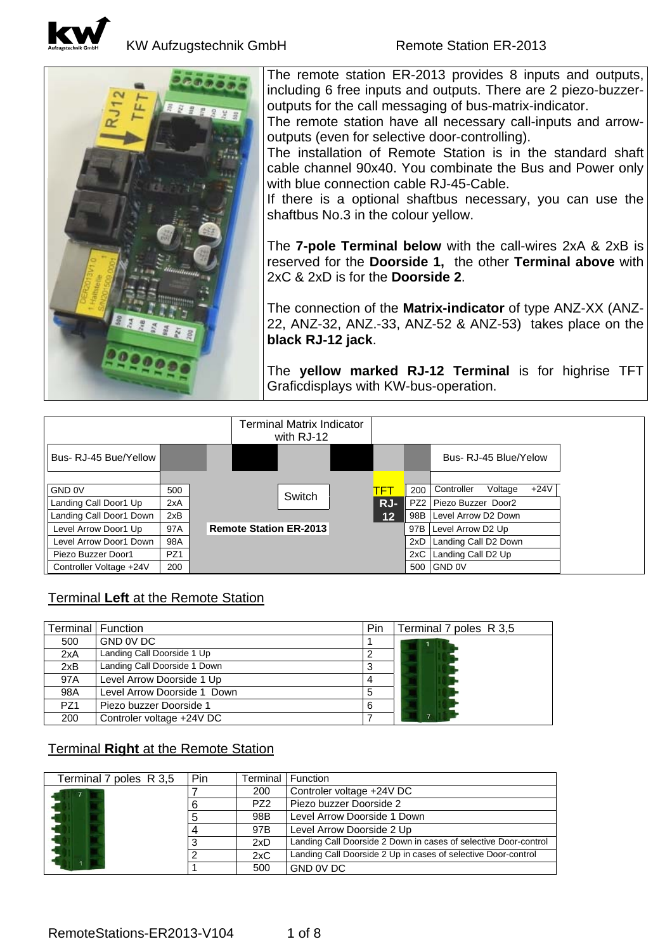



The remote station ER-2013 provides 8 inputs and outputs, including 6 free inputs and outputs. There are 2 piezo-buzzeroutputs for the call messaging of bus-matrix-indicator.

The remote station have all necessary call-inputs and arrowoutputs (even for selective door-controlling).

The installation of Remote Station is in the standard shaft cable channel 90x40. You combinate the Bus and Power only with blue connection cable RJ-45-Cable.

If there is a optional shaftbus necessary, you can use the shaftbus No.3 in the colour yellow.

The **7-pole Terminal below** with the call-wires 2xA & 2xB is reserved for the **Doorside 1,** the other **Terminal above** with 2xC & 2xD is for the **Doorside 2**.

The connection of the **Matrix-indicator** of type ANZ-XX (ANZ-22, ANZ-32, ANZ.-33, ANZ-52 & ANZ-53) takes place on the **black RJ-12 jack**.

The **yellow marked RJ-12 Terminal** is for highrise TFT Graficdisplays with KW-bus-operation.

|                         |                 |                               | Terminal Matrix Indicator<br>with RJ-12 |            |                 |                      |                      |        |  |
|-------------------------|-----------------|-------------------------------|-----------------------------------------|------------|-----------------|----------------------|----------------------|--------|--|
| I Bus- RJ-45 Bue/Yellow |                 |                               |                                         |            |                 |                      | Bus-RJ-45 Blue/Yelow |        |  |
|                         |                 |                               |                                         |            |                 | Controller           | Voltage              | $+24V$ |  |
| <b>GND 0V</b>           | 500             |                               | Switch                                  | <u>TFT</u> | 200             |                      |                      |        |  |
| Landing Call Door1 Up   | 2xA             |                               |                                         | RJ-        | PZ <sub>2</sub> | Piezo Buzzer Door2   |                      |        |  |
| Landing Call Door1 Down | 2xB             |                               |                                         | 12         | 98B             | Level Arrow D2 Down  |                      |        |  |
| Level Arrow Door1 Up    | 97A             | <b>Remote Station ER-2013</b> |                                         |            | 97B             | Level Arrow D2 Up    |                      |        |  |
| Level Arrow Door1 Down  | 98A             |                               |                                         |            | 2xD             | Landing Call D2 Down |                      |        |  |
| Piezo Buzzer Door1      | PZ <sub>1</sub> |                               |                                         |            | 2xC             | Landing Call D2 Up   |                      |        |  |
| Controller Voltage +24V | 200             |                               |                                         |            | 500             | GND 0V               |                      |        |  |

## Terminal **Left** at the Remote Station

|                 | Terminal   Function          | Pin | Terminal 7 poles R 3,5 |
|-----------------|------------------------------|-----|------------------------|
| 500             | GND 0V DC                    |     |                        |
| 2xA             | Landing Call Doorside 1 Up   |     |                        |
| 2xB             | Landing Call Doorside 1 Down |     |                        |
| 97A             | Level Arrow Doorside 1 Up    | 4   |                        |
| 98A             | Level Arrow Doorside 1 Down  | 5   |                        |
| PZ <sub>1</sub> | Piezo buzzer Doorside 1      | 6   |                        |
| 200             | Controler voltage +24V DC    |     |                        |

## Terminal **Right** at the Remote Station

| Terminal 7 poles R 3,5 | l Pin | <b>Terminal   Function</b> |                                                                 |
|------------------------|-------|----------------------------|-----------------------------------------------------------------|
|                        |       | 200                        | Controler voltage +24V DC                                       |
|                        |       | PZ <sub>2</sub>            | Piezo buzzer Doorside 2                                         |
|                        |       | 98B                        | Level Arrow Doorside 1 Down                                     |
|                        |       | 97B                        | Level Arrow Doorside 2 Up                                       |
|                        |       | 2xD                        | Landing Call Doorside 2 Down in cases of selective Door-control |
|                        |       | 2xC                        | Landing Call Doorside 2 Up in cases of selective Door-control   |
|                        |       | 500                        | GND 0V DC                                                       |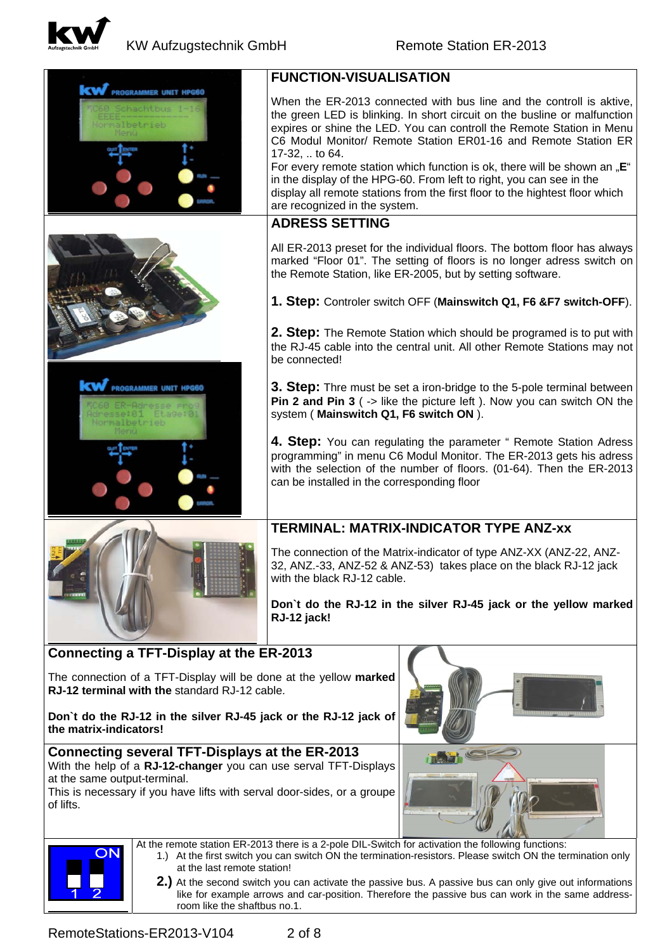

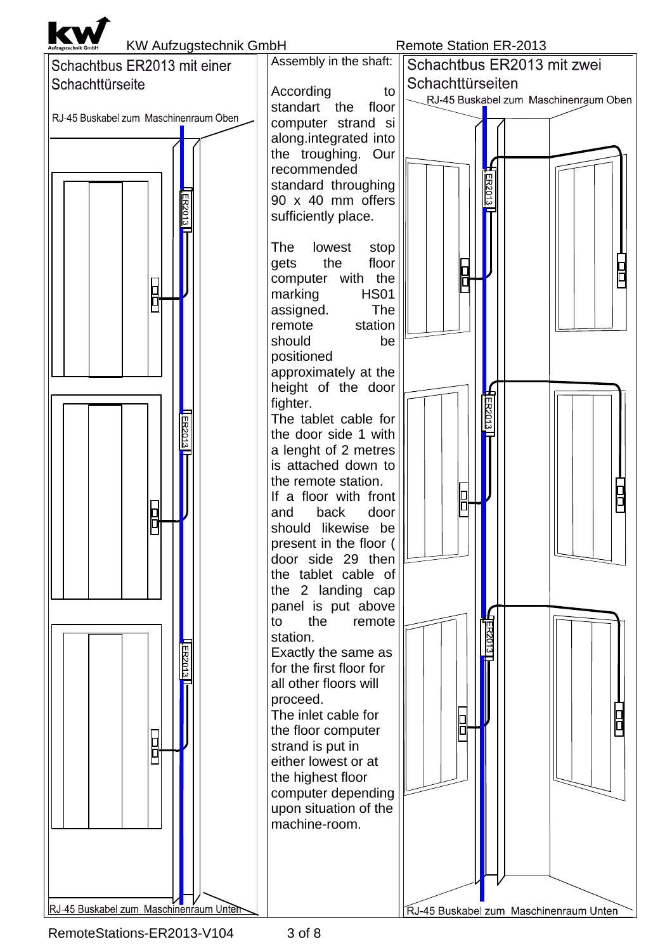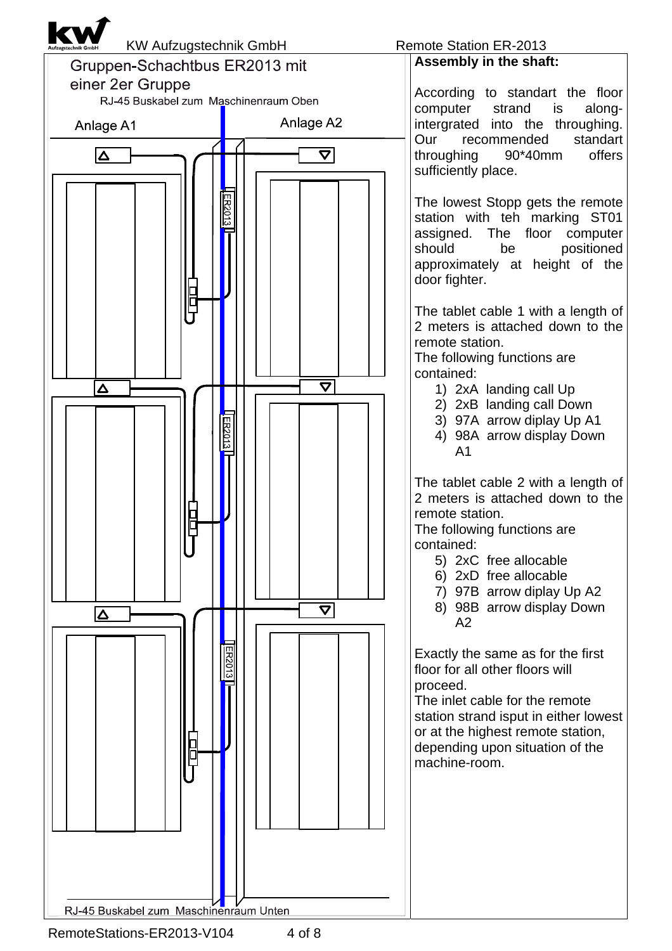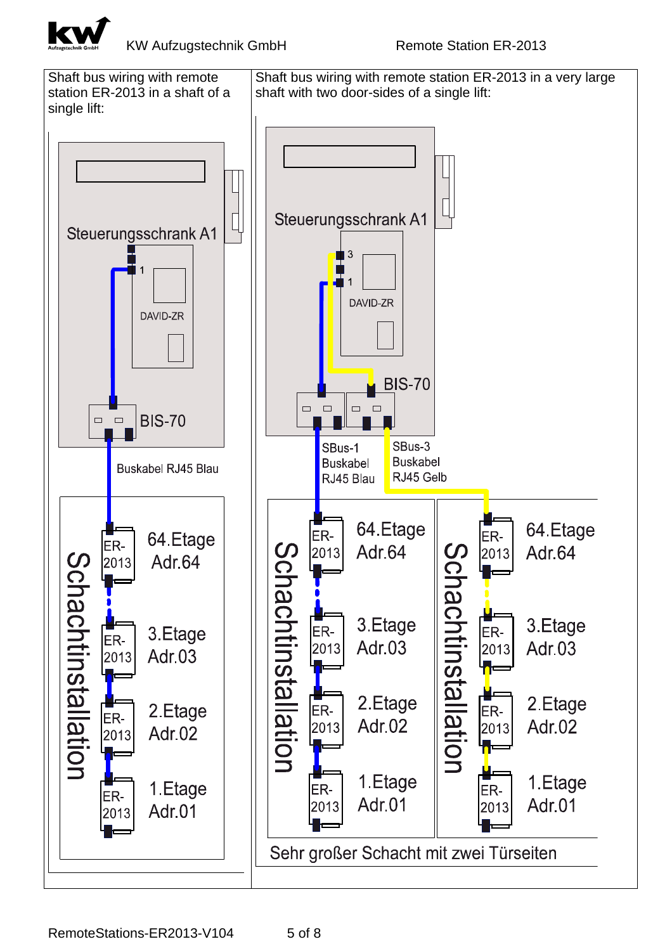

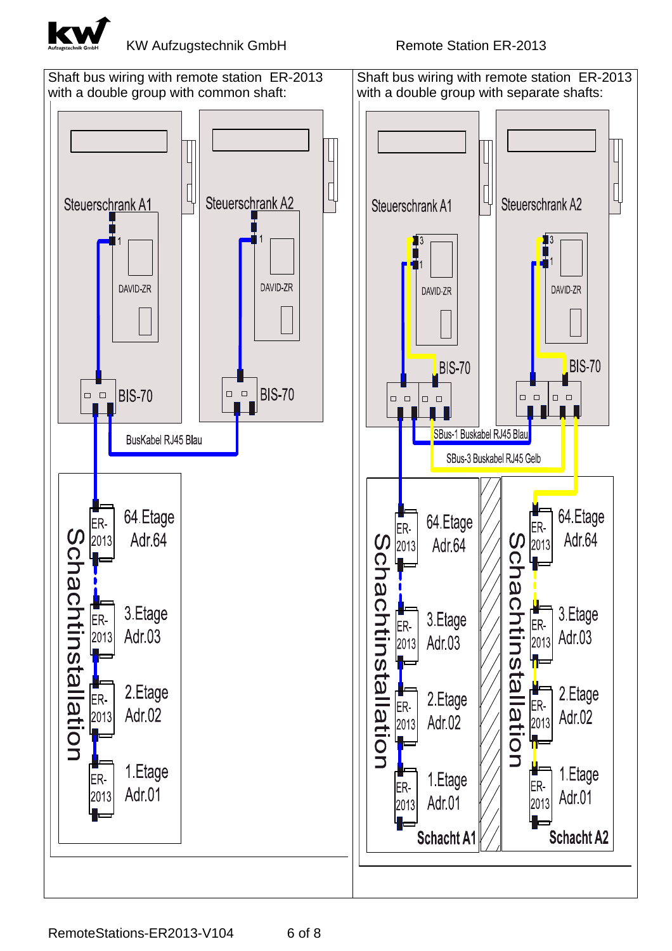

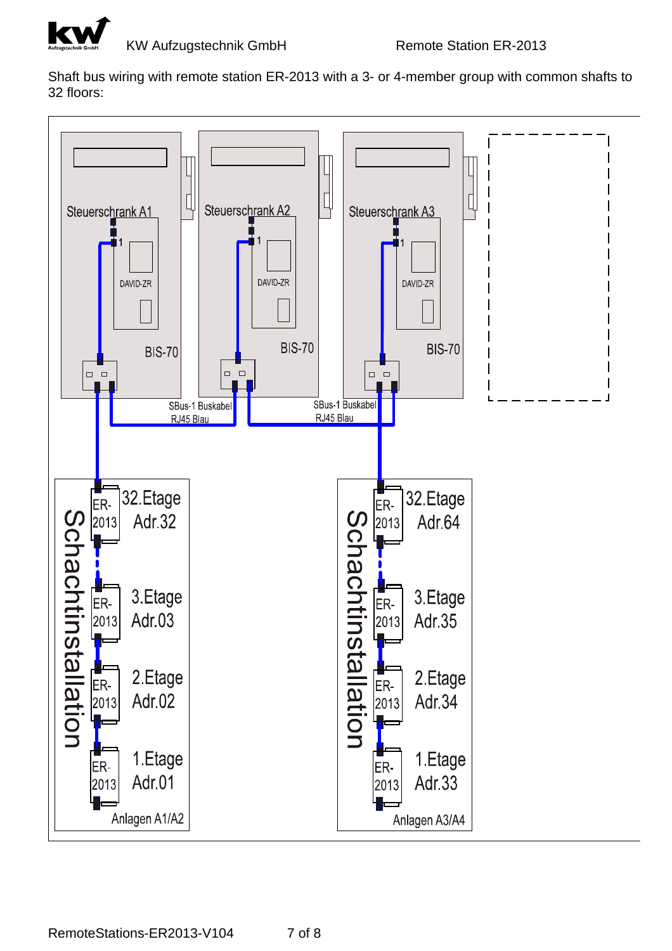

Shaft bus wiring with remote station ER-2013 with a 3- or 4-member group with common shafts to 32 floors: